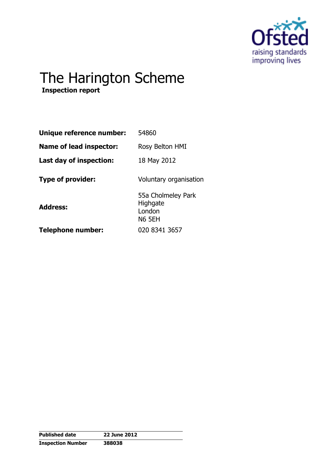

# The Harington Scheme

 **Inspection report** 

| Unique reference number:       | 54860                                                     |
|--------------------------------|-----------------------------------------------------------|
| <b>Name of lead inspector:</b> | Rosy Belton HMI                                           |
| Last day of inspection:        | 18 May 2012                                               |
| <b>Type of provider:</b>       | Voluntary organisation                                    |
| <b>Address:</b>                | 55a Cholmeley Park<br>Highgate<br>London<br><b>N6 5EH</b> |
| Telephone number:              | 020 8341 3657                                             |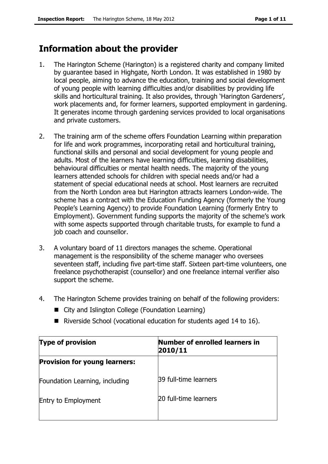# **Information about the provider**

- 1. The Harington Scheme (Harington) is a registered charity and company limited by guarantee based in Highgate, North London. It was established in 1980 by local people, aiming to advance the education, training and social development of young people with learning difficulties and/or disabilities by providing life skills and horticultural training. It also provides, through 'Harington Gardeners', work placements and, for former learners, supported employment in gardening. It generates income through gardening services provided to local organisations and private customers.
- 2. The training arm of the scheme offers Foundation Learning within preparation for life and work programmes, incorporating retail and horticultural training, functional skills and personal and social development for young people and adults. Most of the learners have learning difficulties, learning disabilities, behavioural difficulties or mental health needs. The majority of the young learners attended schools for children with special needs and/or had a statement of special educational needs at school. Most learners are recruited from the North London area but Harington attracts learners London-wide. The scheme has a contract with the Education Funding Agency (formerly the Young People's Learning Agency) to provide Foundation Learning (formerly Entry to Employment). Government funding supports the majority of the scheme's work with some aspects supported through charitable trusts, for example to fund a job coach and counsellor.
- 3. A voluntary board of 11 directors manages the scheme. Operational management is the responsibility of the scheme manager who oversees seventeen staff, including five part-time staff. Sixteen part-time volunteers, one freelance psychotherapist (counsellor) and one freelance internal verifier also support the scheme.
- 4. The Harington Scheme provides training on behalf of the following providers:
	- City and Islington College (Foundation Learning)
	- Riverside School (vocational education for students aged 14 to 16).

| <b>Type of provision</b>             | Number of enrolled learners in<br>2010/11 |  |
|--------------------------------------|-------------------------------------------|--|
| <b>Provision for young learners:</b> |                                           |  |
| Foundation Learning, including       | 39 full-time learners                     |  |
| <b>Entry to Employment</b>           | 20 full-time learners                     |  |
|                                      |                                           |  |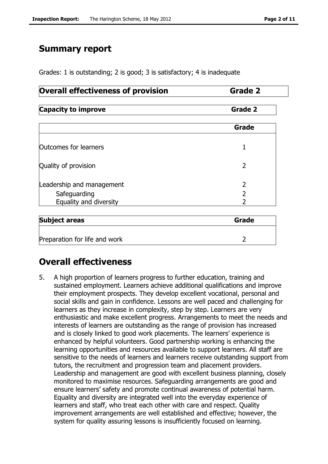# **Summary report**

Grades: 1 is outstanding; 2 is good; 3 is satisfactory; 4 is inadequate

# **Overall effectiveness of provision Francisc Grade 2**

| <b>Capacity to improve</b> | Grade 2 |
|----------------------------|---------|
|----------------------------|---------|

|                                                                     | Grade |
|---------------------------------------------------------------------|-------|
| Outcomes for learners                                               |       |
| Quality of provision                                                |       |
| Leadership and management<br>Safeguarding<br>Equality and diversity |       |

| <b>Subject areas</b>          | Grade |  |  |  |
|-------------------------------|-------|--|--|--|
|                               |       |  |  |  |
| Preparation for life and work |       |  |  |  |

# **Overall effectiveness**

5. A high proportion of learners progress to further education, training and sustained employment. Learners achieve additional qualifications and improve their employment prospects. They develop excellent vocational, personal and social skills and gain in confidence. Lessons are well paced and challenging for learners as they increase in complexity, step by step. Learners are very enthusiastic and make excellent progress. Arrangements to meet the needs and interests of learners are outstanding as the range of provision has increased and is closely linked to good work placements. The learners' experience is enhanced by helpful volunteers. Good partnership working is enhancing the learning opportunities and resources available to support learners. All staff are sensitive to the needs of learners and learners receive outstanding support from tutors, the recruitment and progression team and placement providers. Leadership and management are good with excellent business planning, closely monitored to maximise resources. Safeguarding arrangements are good and ensure learners' safety and promote continual awareness of potential harm. Equality and diversity are integrated well into the everyday experience of learners and staff, who treat each other with care and respect. Quality improvement arrangements are well established and effective; however, the system for quality assuring lessons is insufficiently focused on learning.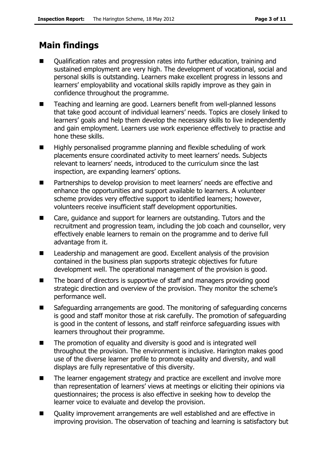# **Main findings**

- Qualification rates and progression rates into further education, training and sustained employment are very high. The development of vocational, social and personal skills is outstanding. Learners make excellent progress in lessons and learners' employability and vocational skills rapidly improve as they gain in confidence throughout the programme.
- Teaching and learning are good. Learners benefit from well-planned lessons that take good account of individual learners' needs. Topics are closely linked to learners' goals and help them develop the necessary skills to live independently and gain employment. Learners use work experience effectively to practise and hone these skills.
- $\blacksquare$  Highly personalised programme planning and flexible scheduling of work placements ensure coordinated activity to meet learners' needs. Subjects relevant to learners' needs, introduced to the curriculum since the last inspection, are expanding learners' options.
- **Partnerships to develop provision to meet learners' needs are effective and** enhance the opportunities and support available to learners. A volunteer scheme provides very effective support to identified learners; however, volunteers receive insufficient staff development opportunities.
- Care, guidance and support for learners are outstanding. Tutors and the recruitment and progression team, including the job coach and counsellor, very effectively enable learners to remain on the programme and to derive full advantage from it.
- Leadership and management are good. Excellent analysis of the provision contained in the business plan supports strategic objectives for future development well. The operational management of the provision is good.
- The board of directors is supportive of staff and managers providing good strategic direction and overview of the provision. They monitor the scheme's performance well.
- Safeguarding arrangements are good. The monitoring of safeguarding concerns is good and staff monitor those at risk carefully. The promotion of safeguarding is good in the content of lessons, and staff reinforce safeguarding issues with learners throughout their programme.
- The promotion of equality and diversity is good and is integrated well throughout the provision. The environment is inclusive. Harington makes good use of the diverse learner profile to promote equality and diversity, and wall displays are fully representative of this diversity.
- The learner engagement strategy and practice are excellent and involve more than representation of learners' views at meetings or eliciting their opinions via questionnaires; the process is also effective in seeking how to develop the learner voice to evaluate and develop the provision.
- Quality improvement arrangements are well established and are effective in improving provision. The observation of teaching and learning is satisfactory but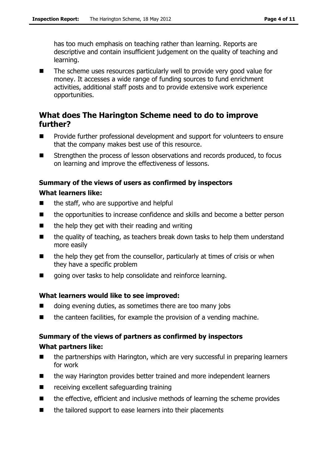has too much emphasis on teaching rather than learning. Reports are descriptive and contain insufficient judgement on the quality of teaching and learning.

■ The scheme uses resources particularly well to provide very good value for money. It accesses a wide range of funding sources to fund enrichment activities, additional staff posts and to provide extensive work experience opportunities.

# **What does The Harington Scheme need to do to improve further?**

- **Provide further professional development and support for volunteers to ensure** that the company makes best use of this resource.
- Strengthen the process of lesson observations and records produced, to focus on learning and improve the effectiveness of lessons.

# **Summary of the views of users as confirmed by inspectors**

#### **What learners like:**

- $\blacksquare$  the staff, who are supportive and helpful
- the opportunities to increase confidence and skills and become a better person
- $\blacksquare$  the help they get with their reading and writing
- $\blacksquare$  the quality of teaching, as teachers break down tasks to help them understand more easily
- $\blacksquare$  the help they get from the counsellor, particularly at times of crisis or when they have a specific problem
- qoing over tasks to help consolidate and reinforce learning.

#### **What learners would like to see improved:**

- doing evening duties, as sometimes there are too many jobs
- the canteen facilities, for example the provision of a vending machine.

# **Summary of the views of partners as confirmed by inspectors**

### **What partners like:**

- $\blacksquare$  the partnerships with Harington, which are very successful in preparing learners for work
- the way Harington provides better trained and more independent learners
- **E** receiving excellent safeguarding training
- the effective, efficient and inclusive methods of learning the scheme provides
- the tailored support to ease learners into their placements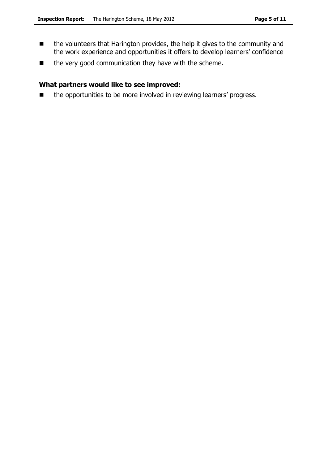- the volunteers that Harington provides, the help it gives to the community and the work experience and opportunities it offers to develop learners' confidence
- the very good communication they have with the scheme.

### **What partners would like to see improved:**

■ the opportunities to be more involved in reviewing learners' progress.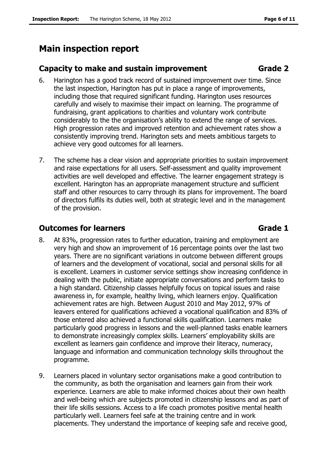# **Main inspection report**

### **Capacity to make and sustain improvement Grade 2**

- 6. Harington has a good track record of sustained improvement over time. Since the last inspection, Harington has put in place a range of improvements, including those that required significant funding. Harington uses resources carefully and wisely to maximise their impact on learning. The programme of fundraising, grant applications to charities and voluntary work contribute considerably to the the organisation's ability to extend the range of services. High progression rates and improved retention and achievement rates show a consistently improving trend. Harington sets and meets ambitious targets to achieve very good outcomes for all learners.
- 7. The scheme has a clear vision and appropriate priorities to sustain improvement and raise expectations for all users. Self-assessment and quality improvement activities are well developed and effective. The learner engagement strategy is excellent. Harington has an appropriate management structure and sufficient staff and other resources to carry through its plans for improvement. The board of directors fulfils its duties well, both at strategic level and in the management of the provision.

# **Outcomes for learners Community Community Community Community Community Community Community Community Community**

- 8. At 83%, progression rates to further education, training and employment are very high and show an improvement of 16 percentage points over the last two years. There are no significant variations in outcome between different groups of learners and the development of vocational, social and personal skills for all is excellent. Learners in customer service settings show increasing confidence in dealing with the public, initiate appropriate conversations and perform tasks to a high standard. Citizenship classes helpfully focus on topical issues and raise awareness in, for example, healthy living, which learners enjoy. Qualification achievement rates are high. Between August 2010 and May 2012, 97% of leavers entered for qualifications achieved a vocational qualification and 83% of those entered also achieved a functional skills qualification. Learners make particularly good progress in lessons and the well-planned tasks enable learners to demonstrate increasingly complex skills. Learners' employability skills are excellent as learners gain confidence and improve their literacy, numeracy, language and information and communication technology skills throughout the programme.
- 9. Learners placed in voluntary sector organisations make a good contribution to the community, as both the organisation and learners gain from their work experience. Learners are able to make informed choices about their own health and well-being which are subjects promoted in citizenship lessons and as part of their life skills sessions. Access to a life coach promotes positive mental health particularly well. Learners feel safe at the training centre and in work placements. They understand the importance of keeping safe and receive good,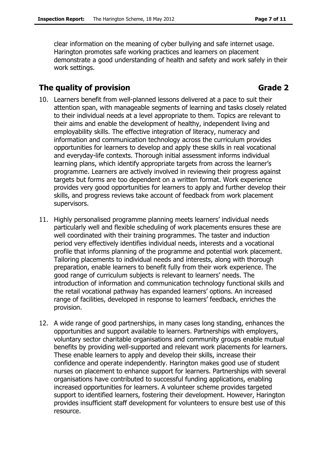clear information on the meaning of cyber bullying and safe internet usage. Harington promotes safe working practices and learners on placement demonstrate a good understanding of health and safety and work safely in their work settings.

# **The quality of provision** Grade 2

- 10. Learners benefit from well-planned lessons delivered at a pace to suit their attention span, with manageable segments of learning and tasks closely related to their individual needs at a level appropriate to them. Topics are relevant to their aims and enable the development of healthy, independent living and employability skills. The effective integration of literacy, numeracy and information and communication technology across the curriculum provides opportunities for learners to develop and apply these skills in real vocational and everyday-life contexts. Thorough initial assessment informs individual learning plans, which identify appropriate targets from across the learner's programme. Learners are actively involved in reviewing their progress against targets but forms are too dependent on a written format. Work experience provides very good opportunities for learners to apply and further develop their skills, and progress reviews take account of feedback from work placement supervisors.
- 11. Highly personalised programme planning meets learners' individual needs particularly well and flexible scheduling of work placements ensures these are well coordinated with their training programmes. The taster and induction period very effectively identifies individual needs, interests and a vocational profile that informs planning of the programme and potential work placement. Tailoring placements to individual needs and interests, along with thorough preparation, enable learners to benefit fully from their work experience. The good range of curriculum subjects is relevant to learners' needs. The introduction of information and communication technology functional skills and the retail vocational pathway has expanded learners' options. An increased range of facilities, developed in response to learners' feedback, enriches the provision.
- 12. A wide range of good partnerships, in many cases long standing, enhances the opportunities and support available to learners. Partnerships with employers, voluntary sector charitable organisations and community groups enable mutual benefits by providing well-supported and relevant work placements for learners. These enable learners to apply and develop their skills, increase their confidence and operate independently. Harington makes good use of student nurses on placement to enhance support for learners. Partnerships with several organisations have contributed to successful funding applications, enabling increased opportunities for learners. A volunteer scheme provides targeted support to identified learners, fostering their development. However, Harington provides insufficient staff development for volunteers to ensure best use of this resource.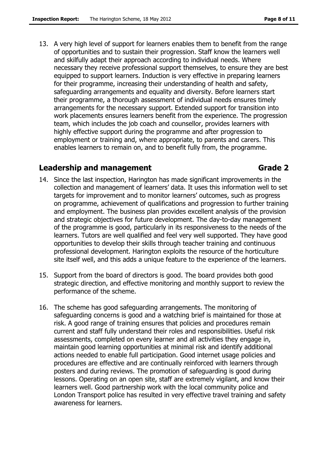13. A very high level of support for learners enables them to benefit from the range of opportunities and to sustain their progression. Staff know the learners well and skilfully adapt their approach according to individual needs. Where necessary they receive professional support themselves, to ensure they are best equipped to support learners. Induction is very effective in preparing learners for their programme, increasing their understanding of health and safety, safeguarding arrangements and equality and diversity. Before learners start their programme, a thorough assessment of individual needs ensures timely arrangements for the necessary support. Extended support for transition into work placements ensures learners benefit from the experience. The progression team, which includes the job coach and counsellor, provides learners with highly effective support during the programme and after progression to employment or training and, where appropriate, to parents and carers. This enables learners to remain on, and to benefit fully from, the programme.

### **Leadership and management Constrainers and Grade 2**

- 14. Since the last inspection, Harington has made significant improvements in the collection and management of learners' data. It uses this information well to set targets for improvement and to monitor learners' outcomes, such as progress on programme, achievement of qualifications and progression to further training and employment. The business plan provides excellent analysis of the provision and strategic objectives for future development. The day-to-day management of the programme is good, particularly in its responsiveness to the needs of the learners. Tutors are well qualified and feel very well supported. They have good opportunities to develop their skills through teacher training and continuous professional development. Harington exploits the resource of the horticulture site itself well, and this adds a unique feature to the experience of the learners.
- 15. Support from the board of directors is good. The board provides both good strategic direction, and effective monitoring and monthly support to review the performance of the scheme.
- 16. The scheme has good safeguarding arrangements. The monitoring of safeguarding concerns is good and a watching brief is maintained for those at risk. A good range of training ensures that policies and procedures remain current and staff fully understand their roles and responsibilities. Useful risk assessments, completed on every learner and all activities they engage in, maintain good learning opportunities at minimal risk and identify additional actions needed to enable full participation. Good internet usage policies and procedures are effective and are continually reinforced with learners through posters and during reviews. The promotion of safeguarding is good during lessons. Operating on an open site, staff are extremely vigilant, and know their learners well. Good partnership work with the local community police and London Transport police has resulted in very effective travel training and safety awareness for learners.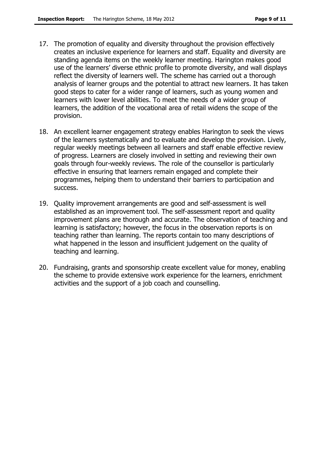- 17. The promotion of equality and diversity throughout the provision effectively creates an inclusive experience for learners and staff. Equality and diversity are standing agenda items on the weekly learner meeting. Harington makes good use of the learners' diverse ethnic profile to promote diversity, and wall displays reflect the diversity of learners well. The scheme has carried out a thorough analysis of learner groups and the potential to attract new learners. It has taken good steps to cater for a wider range of learners, such as young women and learners with lower level abilities. To meet the needs of a wider group of learners, the addition of the vocational area of retail widens the scope of the provision.
- 18. An excellent learner engagement strategy enables Harington to seek the views of the learners systematically and to evaluate and develop the provision. Lively, regular weekly meetings between all learners and staff enable effective review of progress. Learners are closely involved in setting and reviewing their own goals through four-weekly reviews. The role of the counsellor is particularly effective in ensuring that learners remain engaged and complete their programmes, helping them to understand their barriers to participation and success.
- 19. Quality improvement arrangements are good and self-assessment is well established as an improvement tool. The self-assessment report and quality improvement plans are thorough and accurate. The observation of teaching and learning is satisfactory; however, the focus in the observation reports is on teaching rather than learning. The reports contain too many descriptions of what happened in the lesson and insufficient judgement on the quality of teaching and learning.
- 20. Fundraising, grants and sponsorship create excellent value for money, enabling the scheme to provide extensive work experience for the learners, enrichment activities and the support of a job coach and counselling.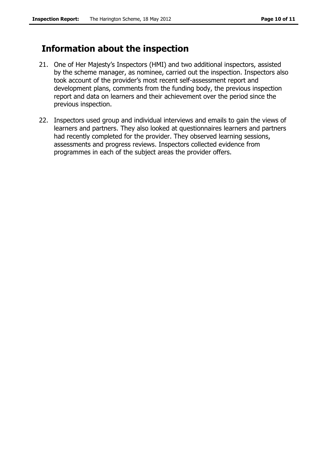# **Information about the inspection**

- 21. One of Her Majesty's Inspectors (HMI) and two additional inspectors, assisted by the scheme manager, as nominee, carried out the inspection. Inspectors also took account of the provider's most recent self-assessment report and development plans, comments from the funding body, the previous inspection report and data on learners and their achievement over the period since the previous inspection.
- 22. Inspectors used group and individual interviews and emails to gain the views of learners and partners. They also looked at questionnaires learners and partners had recently completed for the provider. They observed learning sessions, assessments and progress reviews. Inspectors collected evidence from programmes in each of the subject areas the provider offers.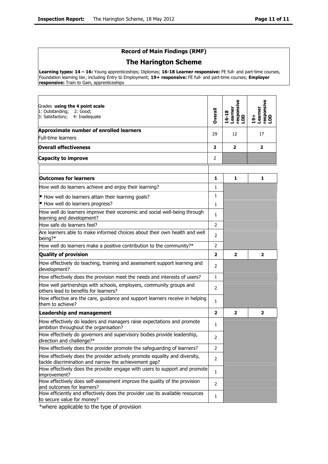### **Record of Main Findings (RMF)**

#### **The Harington Scheme**

**Learning types: 14 – 16:** Young apprenticeships; Diplomas; **16-18 Learner responsive:** FE full- and part-time courses, Foundation learning tier, including Entry to Employment; **19+ responsive:** FE full- and part-time courses; **Employer responsive:** Train to Gain, apprenticeships

| Grades using the 4 point scale<br>1: Outstanding;<br>2: Good;<br>3: Satisfactory;<br>4: Inadequate                                  | Dverall                 | responsive<br>LDD<br>Learner<br>16-18 | responsive<br>LDD<br>Learner<br>$19+$ |
|-------------------------------------------------------------------------------------------------------------------------------------|-------------------------|---------------------------------------|---------------------------------------|
| Approximate number of enrolled learners                                                                                             | 29                      | 12                                    | 17                                    |
| <b>Full-time learners</b>                                                                                                           |                         |                                       |                                       |
| <b>Overall effectiveness</b>                                                                                                        | $\overline{\mathbf{z}}$ | $\overline{\mathbf{z}}$               | $\overline{2}$                        |
| <b>Capacity to improve</b>                                                                                                          | 2                       |                                       |                                       |
|                                                                                                                                     |                         |                                       |                                       |
| <b>Outcomes for learners</b>                                                                                                        | 1                       | 1                                     | 1                                     |
| How well do learners achieve and enjoy their learning?                                                                              | 1                       |                                       |                                       |
| How well do learners attain their learning goals?                                                                                   | 1                       |                                       |                                       |
| How well do learners progress?                                                                                                      | $\mathbf{1}$            |                                       |                                       |
| How well do learners improve their economic and social well-being through<br>learning and development?                              | $\mathbf{1}$            |                                       |                                       |
| How safe do learners feel?                                                                                                          | 2                       |                                       |                                       |
| Are learners able to make informed choices about their own health and well<br>being?*                                               | 2                       |                                       |                                       |
| How well do learners make a positive contribution to the community?*                                                                | 2                       |                                       |                                       |
| <b>Quality of provision</b>                                                                                                         | $\overline{2}$          | $\overline{\mathbf{z}}$               | $\overline{\mathbf{2}}$               |
| How effectively do teaching, training and assessment support learning and<br>development?                                           | 2                       |                                       |                                       |
| How effectively does the provision meet the needs and interests of users?                                                           | $\mathbf{1}$            |                                       |                                       |
| How well partnerships with schools, employers, community groups and<br>others lead to benefits for learners?                        | 2                       |                                       |                                       |
| How effective are the care, guidance and support learners receive in helping<br>them to achieve?                                    | $\mathbf{1}$            |                                       |                                       |
| <b>Leadership and management</b>                                                                                                    | $\overline{2}$          | $\overline{\mathbf{2}}$               | $\overline{2}$                        |
| How effectively do leaders and managers raise expectations and promote<br>ambition throughout the organisation?                     | $\mathbf{1}$            |                                       |                                       |
| How effectively do governors and supervisory bodies provide leadership,<br>direction and challenge?*                                | 2                       |                                       |                                       |
| How effectively does the provider promote the safeguarding of learners?                                                             | 2                       |                                       |                                       |
| How effectively does the provider actively promote equality and diversity,<br>tackle discrimination and narrow the achievement gap? | 2                       |                                       |                                       |
| How effectively does the provider engage with users to support and promote<br>improvement?                                          | 1                       |                                       |                                       |
| How effectively does self-assessment improve the quality of the provision<br>and outcomes for learners?                             | 2                       |                                       |                                       |
| How efficiently and effectively does the provider use its available resources<br>to secure value for money?                         | 1                       |                                       |                                       |

\*where applicable to the type of provision